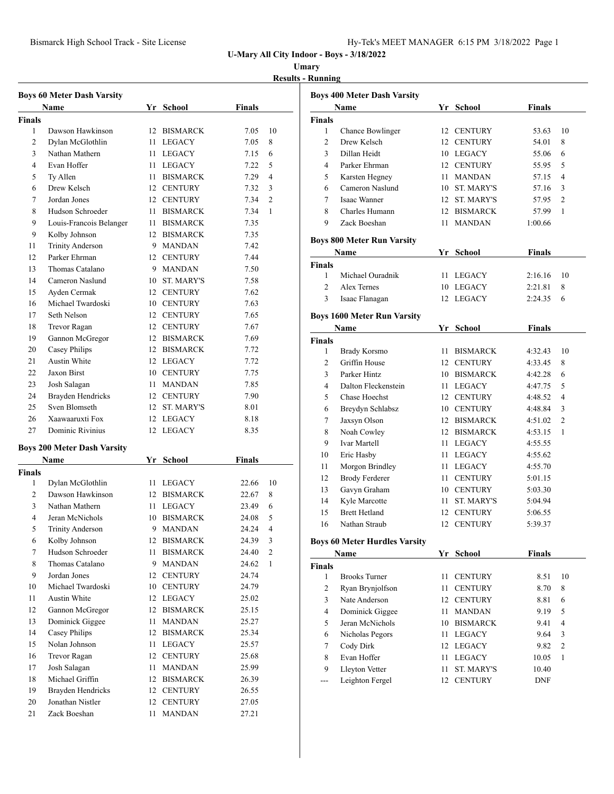| Hy-Tek's MEET MANAGER 6:15 PM 3/18/2022 Page 1 |  |  |  |  |
|------------------------------------------------|--|--|--|--|
|------------------------------------------------|--|--|--|--|

### **Umary**

**Results - Running**

|                | <b>Boys 60 Meter Dash Varsity</b>  |    |                 |        |                |
|----------------|------------------------------------|----|-----------------|--------|----------------|
|                | Name                               |    | Yr School       | Finals |                |
| Finals         |                                    |    |                 |        |                |
| 1              | Dawson Hawkinson                   |    | 12 BISMARCK     | 7.05   | 10             |
| 2              | Dylan McGlothlin                   |    | 11 LEGACY       | 7.05   | 8              |
| 3              | Nathan Mathern                     |    | 11 LEGACY       | 7.15   | 6              |
| $\overline{4}$ | Evan Hoffer                        |    | 11 LEGACY       | 7.22   | 5              |
| 5              | Ty Allen                           |    | 11 BISMARCK     | 7.29   | $\overline{4}$ |
| 6              | Drew Kelsch                        |    | 12 CENTURY      | 7.32   | 3              |
| 7              | Jordan Jones                       |    | 12 CENTURY      | 7.34   | $\overline{c}$ |
| 8              | Hudson Schroeder                   |    | 11 BISMARCK     | 7.34   | 1              |
| 9              | Louis-Francois Belanger            |    | 11 BISMARCK     | 7.35   |                |
| 9              | Kolby Johnson                      |    | 12 BISMARCK     | 7.35   |                |
| 11             | <b>Trinity Anderson</b>            |    | 9 MANDAN        | 7.42   |                |
| 12             | Parker Ehrman                      |    | 12 CENTURY      | 7.44   |                |
| 13             | Thomas Catalano                    |    | 9 MANDAN        | 7.50   |                |
| 14             | Cameron Naslund                    |    | 10 ST. MARY'S   | 7.58   |                |
| 15             | Ayden Cermak                       |    | 12 CENTURY      | 7.62   |                |
| 16             | Michael Twardoski                  |    | 10 CENTURY      | 7.63   |                |
| 17             | Seth Nelson                        |    | 12 CENTURY      | 7.65   |                |
| 18             | Trevor Ragan                       |    | 12 CENTURY      | 7.67   |                |
| 19             | Gannon McGregor                    |    | 12 BISMARCK     | 7.69   |                |
| 20             | Casey Philips                      |    | 12 BISMARCK     | 7.72   |                |
| 21             | Austin White                       |    | 12 LEGACY       | 7.72   |                |
| 22             | Jaxon Birst                        |    | 10 CENTURY      | 7.75   |                |
| 23             | Josh Salagan                       |    | 11 MANDAN       | 7.85   |                |
| 24             | Brayden Hendricks                  |    | 12 CENTURY      | 7.90   |                |
| 25             | Sven Blomseth                      |    | 12 ST. MARY'S   | 8.01   |                |
| 26             | Xaawaaruxti Fox                    |    | 12 LEGACY       | 8.18   |                |
| 27             | Dominic Rivinius                   |    | 12 LEGACY       | 8.35   |                |
|                |                                    |    |                 |        |                |
|                | <b>Boys 200 Meter Dash Varsity</b> |    |                 |        |                |
|                | Name                               |    | Yr School       | Finals |                |
| Finals         |                                    |    |                 |        |                |
| 1              | Dylan McGlothlin                   |    | 11 LEGACY       | 22.66  | 10             |
| 2              | Dawson Hawkinson                   |    | 12 BISMARCK     | 22.67  | 8              |
| 3              | Nathan Mathern                     |    | 11 LEGACY       | 23.49  | 6              |
| $\overline{4}$ | Jeran McNichols                    |    | 10 BISMARCK     | 24.08  | 5              |
| 5.             | Trinity Anderson                   |    | 9 MANDAN        | 24.24  | 4              |
| 6              | Kolby Johnson                      |    | 12 BISMARCK     | 24.39  | 3              |
| 7              | Hudson Schroeder                   | 11 | <b>BISMARCK</b> | 24.40  | 2              |
| 8              | Thomas Catalano                    | 9  | MANDAN          | 24.62  | 1              |
| 9              | Jordan Jones                       | 12 | <b>CENTURY</b>  | 24.74  |                |
| 10             | Michael Twardoski                  |    | 10 CENTURY      | 24.79  |                |
| 11             | Austin White                       |    | 12 LEGACY       | 25.02  |                |
| 12             | Gannon McGregor                    |    | 12 BISMARCK     | 25.15  |                |
| 13             | Dominick Giggee                    | 11 | MANDAN          | 25.27  |                |
| 14             | Casey Philips                      |    | 12 BISMARCK     | 25.34  |                |
| 15             | Nolan Johnson                      | 11 | LEGACY          | 25.57  |                |
| 16             | Trevor Ragan                       |    | 12 CENTURY      | 25.68  |                |
| 17             | Josh Salagan                       | 11 | <b>MANDAN</b>   | 25.99  |                |
| 18             | Michael Griffin                    |    | 12 BISMARCK     | 26.39  |                |
| 19             | Brayden Hendricks                  |    | 12 CENTURY      | 26.55  |                |
| 20             | Jonathan Nistler                   | 12 | <b>CENTURY</b>  | 27.05  |                |
| 21             | Zack Boeshan                       | 11 | <b>MANDAN</b>   | 27.21  |                |

|                | <b>Boys 400 Meter Dash Varsity</b>   |      |                   |               |    |
|----------------|--------------------------------------|------|-------------------|---------------|----|
|                | Name                                 |      | Yr School         | <b>Finals</b> |    |
| <b>Finals</b>  |                                      |      |                   |               |    |
| 1              | Chance Bowlinger                     | 12   | <b>CENTURY</b>    | 53.63         | 10 |
| 2              | Drew Kelsch                          |      | 12 CENTURY        | 54.01         | 8  |
| 3              | Dillan Heidt                         |      | 10 LEGACY         | 55.06         | 6  |
| 4              | Parker Ehrman                        |      | 12 CENTURY        | 55.95         | 5  |
| 5              | Karsten Hegney                       | 11 - | MANDAN            | 57.15         | 4  |
| 6              | Cameron Naslund                      |      | 10 ST. MARY'S     | 57.16         | 3  |
| 7              | Isaac Wanner                         |      | 12 ST. MARY'S     | 57.95         | 2  |
| 8              | Charles Humann                       |      | 12 BISMARCK       | 57.99         | 1  |
| 9              | Zack Boeshan                         | 11   | <b>MANDAN</b>     | 1:00.66       |    |
|                | <b>Boys 800 Meter Run Varsity</b>    |      |                   |               |    |
|                | Name                                 | Yr   | <b>School</b>     | <b>Finals</b> |    |
| <b>Finals</b>  |                                      |      |                   |               |    |
| 1              | Michael Ouradnik                     | 11   | LEGACY            | 2:16.16       | 10 |
| $\overline{2}$ | Alex Ternes                          |      | 10 LEGACY         | 2:21.81       | 8  |
| 3              | Isaac Flanagan                       |      | 12 LEGACY         | 2:24.35       | 6  |
|                | <b>Boys 1600 Meter Run Varsity</b>   |      |                   |               |    |
|                | <b>Name</b>                          |      | Yr School         | <b>Finals</b> |    |
| <b>Finals</b>  |                                      |      |                   |               |    |
| 1              | <b>Brady Korsmo</b>                  | 11.  | <b>BISMARCK</b>   | 4:32.43       | 10 |
| 2              | Griffin House                        |      | 12 CENTURY        | 4:33.45       | 8  |
| 3              | Parker Hintz                         |      | 10 BISMARCK       | 4:42.28       | 6  |
| $\overline{4}$ | Dalton Fleckenstein                  |      | 11 LEGACY         | 4:47.75       | 5  |
| 5              | Chase Hoechst                        |      | 12 CENTURY        | 4:48.52       | 4  |
| 6              | Breydyn Schlabsz                     |      | 10 CENTURY        | 4:48.84       | 3  |
| 7              | Jaxsyn Olson                         |      | 12 BISMARCK       | 4:51.02       | 2  |
| 8              | Noah Cowley                          |      | 12 BISMARCK       | 4:53.15       | 1  |
| 9              | <b>Ivar Martell</b>                  | 11 - | LEGACY            | 4:55.55       |    |
| 10             | Eric Hasby                           | 11 - | LEGACY            | 4:55.62       |    |
| 11             | Morgon Brindley                      | 11 - | LEGACY            | 4:55.70       |    |
| 12             | <b>Brody Ferderer</b>                | 11 - | <b>CENTURY</b>    | 5:01.15       |    |
| 13             | Gavyn Graham                         |      | 10 CENTURY        | 5:03.30       |    |
| 14             | Kyle Marcotte                        | 11 - | ST. MARY'S        | 5:04.94       |    |
| 15             | <b>Brett Hetland</b>                 |      | 12 CENTURY        | 5:06.55       |    |
| 16             | Nathan Straub                        | 12   | <b>CENTURY</b>    | 5:39.37       |    |
|                | <b>Boys 60 Meter Hurdles Varsity</b> |      |                   |               |    |
|                | <b>Name</b>                          |      | Yr School         | <b>Finals</b> |    |
| <b>Finals</b>  |                                      |      |                   |               |    |
| 1              | <b>Brooks Turner</b>                 | 11   | <b>CENTURY</b>    | 8.51          | 10 |
| 2              | Ryan Brynjolfson                     | 11   | <b>CENTURY</b>    | 8.70          | 8  |
| 3              | Nate Anderson                        | 12   | <b>CENTURY</b>    | 8.81          | 6  |
| 4              | Dominick Giggee                      | 11   | <b>MANDAN</b>     | 9.19          | 5  |
| 5              | Jeran McNichols                      | 10   | <b>BISMARCK</b>   | 9.41          | 4  |
| 6              | Nicholas Pegors                      | 11   | LEGACY            | 9.64          | 3  |
| 7              | Cody Dirk                            | 12   | LEGACY            | 9.82          | 2  |
| 8              | Evan Hoffer                          | 11   | LEGACY            | 10.05         | 1  |
| 9              | Lleyton Vetter                       | 11   | <b>ST. MARY'S</b> | 10.40         |    |
| ---            | Leighton Fergel                      | 12   | <b>CENTURY</b>    | DNF           |    |
|                |                                      |      |                   |               |    |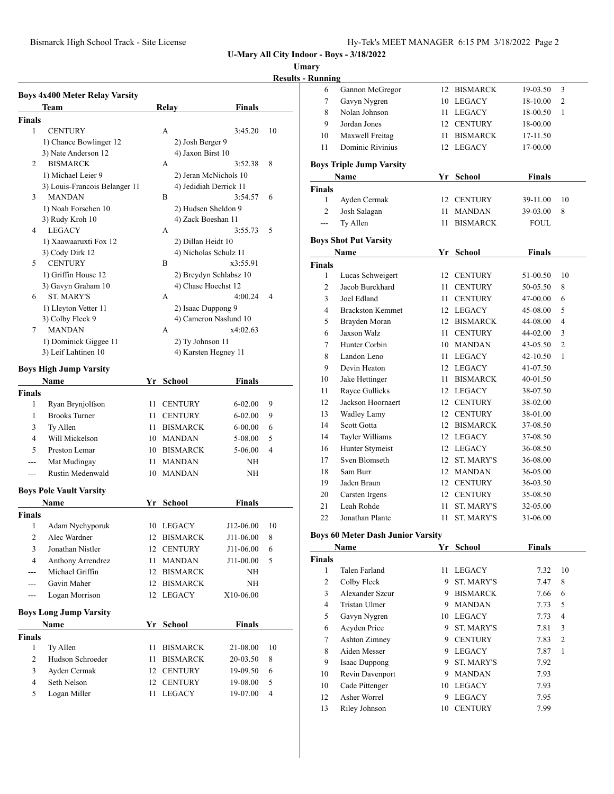### **Umary**

## **Results - R**

|                |                                       |    |           |                        |                        | <u>iyyəti</u> |
|----------------|---------------------------------------|----|-----------|------------------------|------------------------|---------------|
|                | <b>Boys 4x400 Meter Relay Varsity</b> |    |           |                        |                        |               |
|                | <b>Team</b>                           |    | Relay     |                        | <b>Finals</b>          |               |
| <b>Finals</b>  |                                       |    |           |                        |                        |               |
| 1              | <b>CENTURY</b>                        |    | A         |                        | 3:45.20                | 10            |
|                | 1) Chance Bowlinger 12                |    |           | 2) Josh Berger 9       |                        |               |
|                | 3) Nate Anderson 12                   |    |           | 4) Jaxon Birst 10      |                        |               |
| 2              | <b>BISMARCK</b>                       |    | A         |                        | 3:52.38                | 8             |
|                | 1) Michael Leier 9                    |    |           | 2) Jeran McNichols 10  |                        |               |
|                | 3) Louis-Francois Belanger 11         |    |           | 4) Jedidiah Derrick 11 |                        |               |
| 3              | MANDAN                                |    | B         |                        | 3:54.57                | 6             |
|                | 1) Noah Forschen 10                   |    |           | 2) Hudsen Sheldon 9    |                        |               |
|                | 3) Rudy Kroh 10                       |    |           | 4) Zack Boeshan 11     |                        |               |
| 4              | <b>LEGACY</b>                         |    | А         |                        | 3:55.73                | 5             |
|                | 1) Xaawaaruxti Fox 12                 |    |           | 2) Dillan Heidt 10     |                        |               |
|                | 3) Cody Dirk 12                       |    |           | 4) Nicholas Schulz 11  |                        |               |
| 5              | <b>CENTURY</b>                        |    | B         |                        | x3:55.91               |               |
|                | 1) Griffin House 12                   |    |           |                        | 2) Breydyn Schlabsz 10 |               |
|                | 3) Gavyn Graham 10                    |    |           | 4) Chase Hoechst 12    |                        |               |
| 6              | <b>ST. MARY'S</b>                     |    | A         |                        | 4:00.24                | 4             |
|                | 1) Lleyton Vetter 11                  |    |           | 2) Isaac Duppong 9     |                        |               |
|                | 3) Colby Fleck 9                      |    |           |                        | 4) Cameron Naslund 10  |               |
| 7              | <b>MANDAN</b>                         |    | A         |                        | x4:02.63               |               |
|                | 1) Dominick Giggee 11                 |    |           | 2) Ty Johnson 11       |                        |               |
|                | 3) Leif Lahtinen 10                   |    |           | 4) Karsten Hegney 11   |                        |               |
|                |                                       |    |           |                        |                        |               |
|                | <b>Boys High Jump Varsity</b>         |    |           |                        |                        |               |
|                | Name                                  |    | Yr School |                        | Finals                 |               |
| Finals         |                                       |    |           |                        |                        |               |
| 1              | Ryan Brynjolfson                      | 11 |           | <b>CENTURY</b>         | 6-02.00                | 9             |
| 1              | <b>Brooks Turner</b>                  |    |           | 11 CENTURY             | $6 - 02.00$            | 9             |
| 3              | Ty Allen                              |    |           | 11 BISMARCK            | $6 - 00.00$            | 6             |
| 4              | Will Mickelson                        |    |           | 10 MANDAN              | 5-08.00                | 5             |
| 5              | Preston Lemar                         |    |           | 10 BISMARCK            | 5-06.00                | 4             |
| $---$          | Mat Mudingay                          |    |           | 11 MANDAN              | ΝH                     |               |
| ---            | Rustin Medenwald                      |    |           | 10 MANDAN              | NH                     |               |
|                |                                       |    |           |                        |                        |               |
|                | <b>Boys Pole Vault Varsity</b>        |    |           |                        |                        |               |
|                | Name                                  |    | Yr School |                        | <b>Finals</b>          |               |
| <b>Finals</b>  |                                       |    |           |                        |                        |               |
| 1              | Adam Nychyporuk                       |    | 10 LEGACY |                        | J12-06.00              | 10            |
| 2              | Alec Wardner                          | 12 |           | <b>BISMARCK</b>        | J11-06.00              | 8             |
| 3              | Jonathan Nistler                      | 12 |           | <b>CENTURY</b>         | J11-06.00              | 6             |
| $\overline{4}$ | <b>Anthony Arrendrez</b>              | 11 |           | <b>MANDAN</b>          | J11-00.00              | 5             |
|                | Michael Griffin                       | 12 |           | <b>BISMARCK</b>        | ΝH                     |               |
| ---            | Gavin Maher                           | 12 |           | <b>BISMARCK</b>        | NΗ                     |               |
| ---            | Logan Morrison                        | 12 |           | LEGACY                 | X10-06.00              |               |
|                |                                       |    |           |                        |                        |               |
|                | <b>Boys Long Jump Varsity</b>         |    |           |                        |                        |               |
|                | Name                                  |    | Yr School |                        | <b>Finals</b>          |               |
| Finals         |                                       |    |           |                        |                        |               |
| 1              | Ty Allen                              | 11 |           | <b>BISMARCK</b>        | 21-08.00               | 10            |
| 2              | Hudson Schroeder                      | 11 |           | <b>BISMARCK</b>        | 20-03.50               | 8             |
| 3              | Ayden Cermak                          | 12 |           | <b>CENTURY</b>         | 19-09.50               | 6             |
| 4              | Seth Nelson                           | 12 |           | <b>CENTURY</b>         | 19-08.00               | 5             |
| 5              | Logan Miller                          | 11 |           | <b>LEGACY</b>          | 19-07.00               | 4             |
|                |                                       |    |           |                        |                        |               |

| Kunning        |                                          |     |                   |               |                |
|----------------|------------------------------------------|-----|-------------------|---------------|----------------|
| 6              | Gannon McGregor                          | 12  | <b>BISMARCK</b>   | 19-03.50      | 3              |
| 7              | Gavyn Nygren                             |     | 10 LEGACY         | 18-10.00      | $\overline{2}$ |
| 8              | Nolan Johnson                            |     | 11 LEGACY         | 18-00.50      | 1              |
| 9              | Jordan Jones                             | 12  | <b>CENTURY</b>    | 18-00.00      |                |
| 10             | Maxwell Freitag                          | 11  | <b>BISMARCK</b>   | 17-11.50      |                |
| 11             | Dominic Rivinius                         | 12  | <b>LEGACY</b>     | 17-00.00      |                |
|                | <b>Boys Triple Jump Varsity</b>          |     |                   |               |                |
|                | Name                                     |     | Yr School         | <b>Finals</b> |                |
| <b>Finals</b>  |                                          |     |                   |               |                |
| 1              | Ayden Cermak                             |     | 12 CENTURY        | 39-11.00      | 10             |
| $\overline{c}$ | Josh Salagan                             | 11  | <b>MANDAN</b>     | 39-03.00      | 8              |
| ---            | Ty Allen                                 | 11  | <b>BISMARCK</b>   | <b>FOUL</b>   |                |
|                | <b>Boys Shot Put Varsity</b>             |     |                   |               |                |
|                | Name                                     | Yr  | School            | Finals        |                |
| <b>Finals</b>  |                                          |     |                   |               |                |
| 1              | Lucas Schweigert                         | 12  | <b>CENTURY</b>    | 51-00.50      | 10             |
| $\overline{c}$ | Jacob Burckhard                          | 11  | <b>CENTURY</b>    | 50-05.50      | 8              |
| 3              | Joel Edland                              | 11  | <b>CENTURY</b>    | 47-00.00      | 6              |
| 4              | <b>Brackston Kemmet</b>                  |     | 12 LEGACY         | 45-08.00      | 5              |
| 5              | Brayden Moran                            |     | 12 BISMARCK       | 44-08.00      | 4              |
| 6              | Jaxson Walz                              | 11. | <b>CENTURY</b>    | 44-02.00      | 3              |
| 7              | Hunter Corbin                            |     | 10 MANDAN         | 43-05.50      | $\overline{c}$ |
| 8              | Landon Leno                              | 11  | <b>LEGACY</b>     | 42-10.50      | $\mathbf{1}$   |
| 9              | Devin Heaton                             |     | 12 LEGACY         | 41-07.50      |                |
| 10             | Jake Hettinger                           | 11  | <b>BISMARCK</b>   | 40-01.50      |                |
| 11             | Rayce Gullicks                           |     | 12 LEGACY         | 38-07.50      |                |
| 12             | Jackson Hoornaert                        |     | 12 CENTURY        | 38-02.00      |                |
| 13             | Wadley Lamy                              | 12  | <b>CENTURY</b>    | 38-01.00      |                |
| 14             | Scott Gotta                              | 12  | <b>BISMARCK</b>   | 37-08.50      |                |
| 14             | Tayler Williams                          |     | 12 LEGACY         | 37-08.50      |                |
| 16             | Hunter Stymeist                          |     | 12 LEGACY         | 36-08.50      |                |
| 17             | Sven Blomseth                            |     | 12 ST. MARY'S     | 36-08.00      |                |
| 18             | Sam Burr                                 |     | 12 MANDAN         | 36-05.00      |                |
| 19             | Jaden Braun                              |     | 12 CENTURY        | 36-03.50      |                |
| 20             | Carsten Irgens                           | 12  | <b>CENTURY</b>    | 35-08.50      |                |
| 21             | Leah Rohde                               | 11  | <b>ST. MARY'S</b> | 32-05.00      |                |
| 22             | Jonathan Plante                          | 11  | <b>ST. MARY'S</b> | 31-06.00      |                |
|                | <b>Boys 60 Meter Dash Junior Varsity</b> |     |                   |               |                |

|        | Name            | Yr | School            | <b>Finals</b> |                |
|--------|-----------------|----|-------------------|---------------|----------------|
| Finals |                 |    |                   |               |                |
| 1      | Talen Farland   | 11 | <b>LEGACY</b>     | 7.32          | 10             |
| 2      | Colby Fleck     | 9  | <b>ST. MARY'S</b> | 7.47          | 8              |
| 3      | Alexander Szcur | 9  | <b>BISMARCK</b>   | 7.66          | 6              |
| 4      | Tristan Ulmer   | 9  | <b>MANDAN</b>     | 7.73          | 5              |
| 5      | Gavyn Nygren    | 10 | <b>LEGACY</b>     | 7.73          | 4              |
| 6      | Aeyden Price    | 9  | <b>ST. MARY'S</b> | 7.81          | 3              |
| 7      | Ashton Zimney   | 9  | <b>CENTURY</b>    | 7.83          | $\overline{c}$ |
| 8      | Aiden Messer    | 9  | <b>LEGACY</b>     | 7.87          | 1              |
| 9      | Isaac Duppong   | 9  | <b>ST. MARY'S</b> | 7.92          |                |
| 10     | Revin Davenport | 9  | <b>MANDAN</b>     | 7.93          |                |
| 10     | Cade Pittenger  | 10 | <b>LEGACY</b>     | 7.93          |                |
| 12     | Asher Worrel    | 9  | <b>LEGACY</b>     | 7.95          |                |
| 13     | Riley Johnson   | 10 | <b>CENTURY</b>    | 7.99          |                |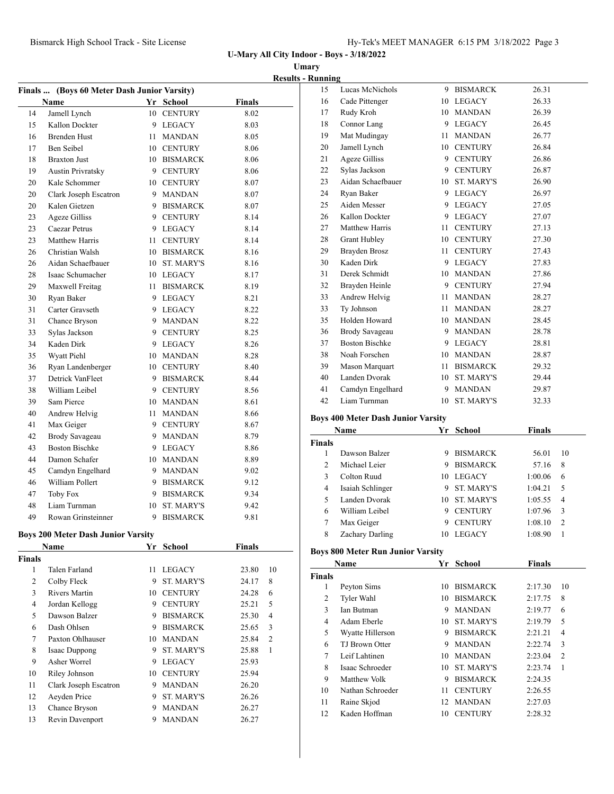**Umary**

|    |                                             |    |                   |               | <b>Results - Running</b>         |
|----|---------------------------------------------|----|-------------------|---------------|----------------------------------|
|    | Finals  (Boys 60 Meter Dash Junior Varsity) |    |                   |               | 15<br>L                          |
|    | Name                                        |    | Yr School         | <b>Finals</b> | 16<br>C                          |
| 14 | Jamell Lynch                                |    | 10 CENTURY        | 8.02          | 17<br>R                          |
| 15 | Kallon Dockter                              |    | 9 LEGACY          | 8.03          | $\mathsf{C}$<br>18               |
| 16 | <b>Brenden Hust</b>                         |    | 11 MANDAN         | 8.05          | 19<br>Ν                          |
| 17 | Ben Seibel                                  |    | 10 CENTURY        | 8.06          | 20<br>J                          |
| 18 | <b>Braxton Just</b>                         |    | 10 BISMARCK       | 8.06          | 21<br>A                          |
| 19 | <b>Austin Privratsky</b>                    |    | 9 CENTURY         | 8.06          | 22<br>S                          |
| 20 | Kale Schommer                               |    | 10 CENTURY        | 8.07          | 23<br>A                          |
| 20 | Clark Joseph Escatron                       |    | 9 MANDAN          | 8.07          | 24<br>$\overline{\mathbf{R}}$    |
| 20 | Kalen Gietzen                               |    | 9 BISMARCK        | 8.07          | 25<br>A                          |
| 23 | <b>Ageze Gilliss</b>                        |    | 9 CENTURY         | 8.14          | $\bf k$<br>26                    |
| 23 | Caezar Petrus                               |    | 9 LEGACY          | 8.14          | 27<br>Ν                          |
| 23 | Matthew Harris                              |    | 11 CENTURY        | 8.14          | 28<br>C                          |
| 26 | Christian Walsh                             |    | 10 BISMARCK       | 8.16          | 29<br>E                          |
| 26 | Aidan Schaefbauer                           |    | 10 ST. MARY'S     | 8.16          | 30<br>K                          |
| 28 | Isaac Schumacher                            |    | 10 LEGACY         | 8.17          | 31<br>$\Gamma$                   |
| 29 | Maxwell Freitag                             |    | 11 BISMARCK       | 8.19          | 32<br>E                          |
| 30 | Ryan Baker                                  |    | 9 LEGACY          | 8.21          | 33<br>A                          |
| 31 | Carter Gravseth                             |    | 9 LEGACY          | 8.22          | 33<br>T                          |
| 31 | Chance Bryson                               |    | 9 MANDAN          | 8.22          | E<br>35                          |
| 33 | Sylas Jackson                               |    | 9 CENTURY         | 8.25          | E<br>36                          |
| 34 | Kaden Dirk                                  |    | 9 LEGACY          | 8.26          | E<br>37                          |
| 35 | Wyatt Piehl                                 |    | 10 MANDAN         | 8.28          | 38<br>N                          |
| 36 | Ryan Landenberger                           |    | 10 CENTURY        | 8.40          | 39<br>N                          |
| 37 | Detrick VanFleet                            |    | 9 BISMARCK        | 8.44          | 40<br>L                          |
| 38 | William Leibel                              |    | 9 CENTURY         | 8.56          | 41<br>$\mathsf{C}$               |
| 39 | Sam Pierce                                  |    | 10 MANDAN         | 8.61          | 42<br>I                          |
| 40 | Andrew Helvig                               |    | 11 MANDAN         | 8.66          |                                  |
| 41 | Max Geiger                                  |    | 9 CENTURY         | 8.67          | <b>Boys 400</b>                  |
| 42 | Brody Savageau                              |    | 9 MANDAN          | 8.79          | Na                               |
| 43 | <b>Boston Bischke</b>                       |    | 9 LEGACY          | 8.86          | <b>Finals</b>                    |
| 44 | Damon Schafer                               |    | 10 MANDAN         | 8.89          | 1<br>Γ                           |
| 45 | Camdyn Engelhard                            |    | 9 MANDAN          | 9.02          | 2<br>Ν                           |
| 46 | William Pollert                             |    | 9 BISMARCK        | 9.12          | $\overline{3}$<br>$\overline{C}$ |
| 47 | Toby Fox                                    |    | 9 BISMARCK        | 9.34          | $\overline{4}$<br>Ŀ              |
| 48 | Liam Turnman                                | 10 | <b>ST. MARY'S</b> | 9.42          | 5<br>L                           |
| 49 | Rowan Grinsteinner                          |    | 9 BISMARCK        | 9.81          | 6<br>V<br>$\overline{7}$<br>л    |
|    |                                             |    |                   |               |                                  |

# **Boys 200 Meter Dash Junior Varsity**

|               | <b>Boys 200 Meter Dash Junior Varsity</b><br><b>Finals</b><br>Name<br>School<br>Yr |    |                   |       |                |  |  |
|---------------|------------------------------------------------------------------------------------|----|-------------------|-------|----------------|--|--|
|               |                                                                                    |    |                   |       |                |  |  |
| <b>Finals</b> |                                                                                    |    |                   |       |                |  |  |
| 1             | Talen Farland                                                                      | 11 | <b>LEGACY</b>     | 23.80 | 10             |  |  |
| 2             | Colby Fleck                                                                        | 9  | <b>ST. MARY'S</b> | 24.17 | 8              |  |  |
| 3             | Rivers Martin                                                                      | 10 | <b>CENTURY</b>    | 24.28 | 6              |  |  |
| 4             | Jordan Kellogg                                                                     | 9  | <b>CENTURY</b>    | 25.21 | 5              |  |  |
| 5             | Dawson Balzer                                                                      | 9  | <b>BISMARCK</b>   | 25.30 | $\overline{4}$ |  |  |
| 6             | Dash Ohlsen                                                                        | 9  | <b>BISMARCK</b>   | 25.65 | 3              |  |  |
| 7             | Paxton Ohlhauser                                                                   | 10 | <b>MANDAN</b>     | 25.84 | $\overline{2}$ |  |  |
| 8             | Isaac Duppong                                                                      | 9  | <b>ST. MARY'S</b> | 25.88 | 1              |  |  |
| 9             | Asher Worrel                                                                       | 9  | <b>LEGACY</b>     | 25.93 |                |  |  |
| 10            | Riley Johnson                                                                      | 10 | <b>CENTURY</b>    | 25.94 |                |  |  |
| 11            | Clark Joseph Escatron                                                              | 9  | <b>MANDAN</b>     | 26.20 |                |  |  |
| 12            | Aeyden Price                                                                       | 9  | <b>ST. MARY'S</b> | 26.26 |                |  |  |
| 13            | Chance Bryson                                                                      | 9  | <b>MANDAN</b>     | 26.27 |                |  |  |
| 13            | Revin Davenport                                                                    | 9  | <b>MANDAN</b>     | 26.27 |                |  |  |
|               |                                                                                    |    |                   |       |                |  |  |

| 15 | Lucas McNichols       | 9  | <b>BISMARCK</b>   | 26.31 |
|----|-----------------------|----|-------------------|-------|
| 16 | Cade Pittenger        | 10 | LEGACY            | 26.33 |
| 17 | Rudy Kroh             | 10 | <b>MANDAN</b>     | 26.39 |
| 18 | Connor Lang           |    | 9 LEGACY          | 26.45 |
| 19 | Mat Mudingay          | 11 | MANDAN            | 26.77 |
| 20 | Jamell Lynch          | 10 | <b>CENTURY</b>    | 26.84 |
| 21 | <b>Ageze Gilliss</b>  |    | 9 CENTURY         | 26.86 |
| 22 | Sylas Jackson         | 9  | <b>CENTURY</b>    | 26.87 |
| 23 | Aidan Schaefbauer     | 10 | ST. MARY'S        | 26.90 |
| 24 | Ryan Baker            |    | 9 LEGACY          | 26.97 |
| 25 | Aiden Messer          |    | 9 LEGACY          | 27.05 |
| 26 | Kallon Dockter        | 9  | LEGACY            | 27.07 |
| 27 | Matthew Harris        | 11 | <b>CENTURY</b>    | 27.13 |
| 28 | <b>Grant Hubley</b>   | 10 | <b>CENTURY</b>    | 27.30 |
| 29 | Brayden Brosz         | 11 | <b>CENTURY</b>    | 27.43 |
| 30 | Kaden Dirk            | 9  | LEGACY            | 27.83 |
| 31 | Derek Schmidt         | 10 | <b>MANDAN</b>     | 27.86 |
| 32 | Brayden Heinle        |    | 9 CENTURY         | 27.94 |
| 33 | Andrew Helvig         | 11 | <b>MANDAN</b>     | 28.27 |
| 33 | Ty Johnson            | 11 | MANDAN            | 28.27 |
| 35 | Holden Howard         |    | 10 MANDAN         | 28.45 |
| 36 | Brody Savageau        | 9. | <b>MANDAN</b>     | 28.78 |
| 37 | <b>Boston Bischke</b> |    | 9 LEGACY          | 28.81 |
| 38 | Noah Forschen         |    | 10 MANDAN         | 28.87 |
| 39 | Mason Marquart        | 11 | <b>BISMARCK</b>   | 29.32 |
| 40 | Landen Dvorak         | 10 | ST. MARY'S        | 29.44 |
| 41 | Camdyn Engelhard      | 9  | <b>MANDAN</b>     | 29.87 |
| 42 | Liam Turnman          | 10 | <b>ST. MARY'S</b> | 32.33 |
|    |                       |    |                   |       |

### **Boys 400 Meter Dash Junior Varsity**

|                | Name             |     | Yr School         | <b>Finals</b> |                |
|----------------|------------------|-----|-------------------|---------------|----------------|
| Finals         |                  |     |                   |               |                |
|                | Dawson Balzer    | 9   | <b>BISMARCK</b>   | 56.01         | 10             |
| $\mathfrak{D}$ | Michael Leier    | 9   | <b>BISMARCK</b>   | 57.16         | 8              |
| 3              | Colton Ruud      | 10  | <b>LEGACY</b>     | 1:00.06       | 6              |
| 4              | Isaiah Schlinger | 9   | <b>ST. MARY'S</b> | 1:04.21       | 5              |
| 5              | Landen Dvorak    | 10. | <b>ST. MARY'S</b> | 1:05.55       | 4              |
| 6              | William Leibel   | 9   | <b>CENTURY</b>    | 1:07.96       | 3              |
| 7              | Max Geiger       | 9   | <b>CENTURY</b>    | 1:08.10       | $\overline{c}$ |
| 8              | Zachary Darling  | 10  | <b>LEGACY</b>     | 1:08.90       |                |

### **Boys 800 Meter Run Junior Varsity**

|               | Name              | Yr  | School            | <b>Finals</b> |                |
|---------------|-------------------|-----|-------------------|---------------|----------------|
| <b>Finals</b> |                   |     |                   |               |                |
| 1             | Peyton Sims       | 10  | <b>BISMARCK</b>   | 2:17.30       | 10             |
| 2             | Tyler Wahl        | 10  | <b>BISMARCK</b>   | 2:17.75       | 8              |
| 3             | <b>Ian Butman</b> | 9   | <b>MANDAN</b>     | 2:19.77       | 6              |
| 4             | Adam Eberle       | 10  | <b>ST. MARY'S</b> | 2:19.79       | 5              |
| 5             | Wyatte Hillerson  | 9   | <b>BISMARCK</b>   | 2:21.21       | 4              |
| 6             | TJ Brown Otter    | 9   | <b>MANDAN</b>     | 2:22.74       | 3              |
| 7             | Leif Lahtinen     | 10. | <b>MANDAN</b>     | 2:23.04       | $\overline{2}$ |
| 8             | Isaac Schroeder   | 10. | <b>ST. MARY'S</b> | 2:23.74       | 1              |
| 9             | Matthew Volk      | 9   | <b>BISMARCK</b>   | 2:24.35       |                |
| 10            | Nathan Schroeder  | 11  | <b>CENTURY</b>    | 2:26.55       |                |
| 11            | Raine Skjod       | 12  | <b>MANDAN</b>     | 2:27.03       |                |
| 12            | Kaden Hoffman     | 10  | <b>CENTURY</b>    | 2:28.32       |                |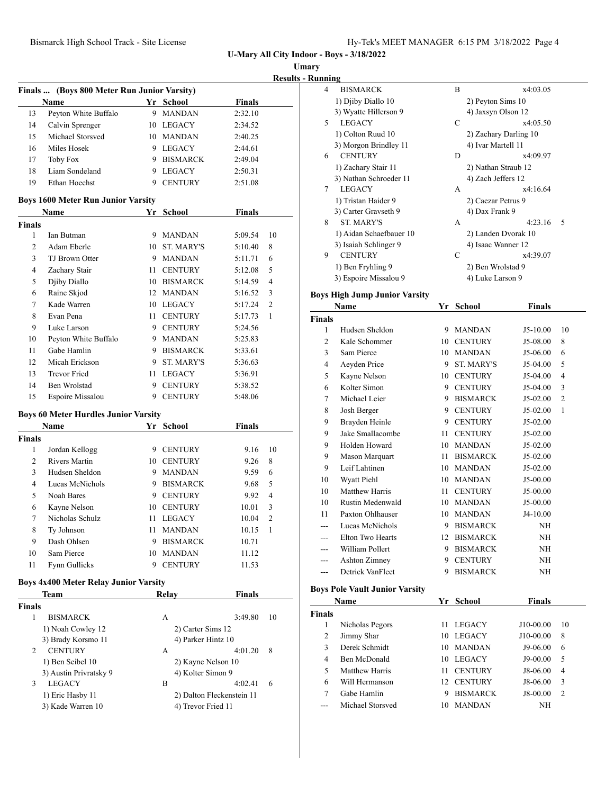**Umary**

|               | Finals  (Boys 800 Meter Run Junior Varsity)  |    |                    |               | <b>Results - Ru</b> |
|---------------|----------------------------------------------|----|--------------------|---------------|---------------------|
|               | Name                                         |    | Yr School          | <b>Finals</b> |                     |
| 13            | Peyton White Buffalo                         | 9  | MANDAN             | 2:32.10       |                     |
| 14            | Calvin Sprenger                              |    | 10 LEGACY          | 2:34.52       |                     |
| 15            | Michael Storsved                             |    | 10 MANDAN          | 2:40.25       |                     |
| 16            | Miles Hosek                                  |    | 9 LEGACY           | 2:44.61       |                     |
| 17            | <b>Toby Fox</b>                              |    | 9 BISMARCK         | 2:49.04       |                     |
| 18            | Liam Sondeland                               |    | 9 LEGACY           | 2:50.31       |                     |
| 19            | Ethan Hoechst                                |    | 9 CENTURY          | 2:51.08       |                     |
|               | <b>Boys 1600 Meter Run Junior Varsity</b>    |    |                    |               |                     |
|               | Name                                         |    | Yr School          | <b>Finals</b> |                     |
| <b>Finals</b> |                                              |    |                    |               |                     |
| 1             | Ian Butman                                   |    | 9 MANDAN           | 5:09.54       | 10                  |
| 2             | Adam Eberle                                  |    | 10 ST. MARY'S      | 5:10.40       | 8                   |
| 3             | TJ Brown Otter                               |    | 9 MANDAN           | 5:11.71       | 6                   |
| 4             | Zachary Stair                                | 11 | CENTURY            | 5:12.08       | 5                   |
| 5             | Djiby Diallo                                 |    | 10 BISMARCK        | 5:14.59       | $\overline{4}$      |
| 6             | Raine Skjod                                  |    | 12 MANDAN          | 5:16.52       | 3                   |
| 7             | Kade Warren                                  |    | 10 LEGACY          | 5:17.24       | 2                   |
| 8             | Evan Pena                                    |    | 11 CENTURY         | 5:17.73       | 1                   |
| 9             | Luke Larson                                  |    | 9 CENTURY          | 5:24.56       |                     |
| 10            | Peyton White Buffalo                         |    | 9 MANDAN           | 5:25.83       |                     |
| 11            | Gabe Hamlin                                  |    | 9 BISMARCK         | 5:33.61       |                     |
| 12            | Micah Erickson                               |    | 9 ST. MARY'S       | 5:36.63       |                     |
| 13            | Trevor Fried                                 |    | 11 LEGACY          | 5:36.91       |                     |
| 14            | Ben Wrolstad                                 |    | 9 CENTURY          | 5:38.52       |                     |
| 15            | Espoire Missalou                             |    | 9 CENTURY          | 5:48.06       |                     |
|               | <b>Boys 60 Meter Hurdles Junior Varsity</b>  |    |                    |               |                     |
|               | Name                                         |    | Yr School          | <b>Finals</b> |                     |
| <b>Finals</b> |                                              |    |                    |               |                     |
| 1             | Jordan Kellogg                               |    | 9 CENTURY          | 9.16          | 10                  |
| 2             | <b>Rivers Martin</b>                         |    | 10 CENTURY         | 9.26          | 8                   |
| 3             | Hudsen Sheldon                               |    | 9 MANDAN           | 9.59          | 6                   |
| 4             | Lucas McNichols                              |    | 9 BISMARCK         | 9.68          | 5                   |
| 5             | Noah Bares                                   |    | 9 CENTURY          | 9.92          | 4                   |
| 6             | Kayne Nelson                                 |    | 10 CENTURY         | 10.01         | 3                   |
| 7             | Nicholas Schulz                              |    | 11 LEGACY          | 10.04         | $\overline{c}$      |
| 8             | Ty Johnson                                   | 11 | <b>MANDAN</b>      | 10.15         | 1                   |
| 9             | Dash Ohlsen                                  | 9  | <b>BISMARCK</b>    | 10.71         |                     |
| 10            | Sam Pierce                                   | 10 | <b>MANDAN</b>      | 11.12         |                     |
| 11            | Fynn Gullicks                                | 9  | <b>CENTURY</b>     | 11.53         |                     |
|               | <b>Boys 4x400 Meter Relay Junior Varsity</b> |    |                    |               |                     |
|               | Team                                         |    | Relay              | <b>Finals</b> |                     |
| <b>Finals</b> |                                              |    |                    |               |                     |
| 1             | <b>BISMARCK</b>                              |    | А                  | 3:49.80       | 10                  |
|               | 1) Noah Cowley 12                            |    | 2) Carter Sims 12  |               |                     |
|               | 3) Brady Korsmo 11                           |    | 4) Parker Hintz 10 |               |                     |
| 2             | <b>CENTURY</b>                               |    | А                  | 4:01.20       | 8                   |
|               | 1) Ben Seibel 10                             |    | 2) Kayne Nelson 10 |               |                     |
|               | 3) Austin Privratsky 9                       |    | 4) Kolter Simon 9  |               |                     |
| 3             | <b>LEGACY</b>                                |    | B                  | 4:02.41       | 6                   |

1) Eric Hasby 11 2) Dalton Fleckenstein 11 3) Kade Warren 10 4) Trevor Fried 11

| ınning |                         |   |                       |   |
|--------|-------------------------|---|-----------------------|---|
| 4      | <b>BISMARCK</b>         | B | x4:03.05              |   |
|        | 1) Djiby Diallo 10      |   | 2) Peyton Sims 10     |   |
|        | 3) Wyatte Hillerson 9   |   | 4) Jaxsyn Olson 12    |   |
| 5      | <b>LEGACY</b>           | C | x4:05.50              |   |
|        | 1) Colton Ruud 10       |   | 2) Zachary Darling 10 |   |
|        | 3) Morgon Brindley 11   |   | 4) Ivar Martell 11    |   |
| 6      | <b>CENTURY</b>          | D | x4:09.97              |   |
|        | 1) Zachary Stair 11     |   | 2) Nathan Straub 12   |   |
|        | 3) Nathan Schroeder 11  |   | 4) Zach Jeffers 12    |   |
| 7      | <b>LEGACY</b>           | A | x4:16.64              |   |
|        | 1) Tristan Haider 9     |   | 2) Caezar Petrus 9    |   |
|        | 3) Carter Gravseth 9    |   | 4) Dax Frank 9        |   |
| 8      | <b>ST. MARY'S</b>       | A | 4:23.16               | 5 |
|        | 1) Aidan Schaefbauer 10 |   | 2) Landen Dvorak 10   |   |
|        | 3) Isaiah Schlinger 9   |   | 4) Isaac Wanner 12    |   |
| 9      | <b>CENTURY</b>          | C | x4:39.07              |   |
|        | 1) Ben Fryhling 9       |   | 2) Ben Wrolstad 9     |   |
|        | 3) Espoire Missalou 9   |   | 4) Luke Larson 9      |   |

### **Boys High Jump Junior Varsity**

|                | Name                 | Yr | <b>School</b>     | <b>Finals</b> |                |
|----------------|----------------------|----|-------------------|---------------|----------------|
| <b>Finals</b>  |                      |    |                   |               |                |
| 1              | Hudsen Sheldon       | 9  | <b>MANDAN</b>     | $J5-10.00$    | 10             |
| $\overline{c}$ | Kale Schommer        | 10 | <b>CENTURY</b>    | J5-08.00      | 8              |
| 3              | Sam Pierce           | 10 | <b>MANDAN</b>     | J5-06.00      | 6              |
| 4              | Aeyden Price         | 9  | <b>ST. MARY'S</b> | J5-04.00      | 5              |
| 5              | Kayne Nelson         | 10 | <b>CENTURY</b>    | J5-04.00      | 4              |
| 6              | Kolter Simon         | 9  | <b>CENTURY</b>    | J5-04.00      | 3              |
| 7              | Michael Leier        | 9  | <b>BISMARCK</b>   | $J5-02.00$    | $\overline{2}$ |
| 8              | Josh Berger          | 9  | <b>CENTURY</b>    | $J5-02.00$    | 1              |
| 9              | Brayden Heinle       | 9  | <b>CENTURY</b>    | $J5-02.00$    |                |
| 9              | Jake Smallacombe     | 11 | <b>CENTURY</b>    | $J5-02.00$    |                |
| 9              | Holden Howard        | 10 | <b>MANDAN</b>     | $J5-02.00$    |                |
| 9              | Mason Marquart       | 11 | <b>BISMARCK</b>   | $J5-02.00$    |                |
| 9              | Leif Lahtinen        | 10 | <b>MANDAN</b>     | $J5-02.00$    |                |
| 10             | Wyatt Piehl          | 10 | <b>MANDAN</b>     | J5-00.00      |                |
| 10             | Matthew Harris       | 11 | <b>CENTURY</b>    | J5-00.00      |                |
| 10             | Rustin Medenwald     | 10 | <b>MANDAN</b>     | J5-00.00      |                |
| 11             | Paxton Ohlhauser     | 10 | <b>MANDAN</b>     | $J4-10.00$    |                |
| ---            | Lucas McNichols      | 9  | <b>BISMARCK</b>   | NH            |                |
|                | Elton Two Hearts     | 12 | <b>BISMARCK</b>   | NH            |                |
| ---            | William Pollert      | 9  | <b>BISMARCK</b>   | NH            |                |
| ---            | <b>Ashton Zimney</b> | 9  | <b>CENTURY</b>    | ΝH            |                |
| ---            | Detrick VanFleet     | 9  | <b>BISMARCK</b>   | NH            |                |

### **Boys Pole Vault Junior Varsity**

| Name          |                  | Yr. | School          | <b>Finals</b> |                |
|---------------|------------------|-----|-----------------|---------------|----------------|
| <b>Finals</b> |                  |     |                 |               |                |
| 1             | Nicholas Pegors  | 11  | <b>LEGACY</b>   | J10-00.00     | 10             |
| 2             | Jimmy Shar       | 10  | LEGACY          | J10-00.00     | 8              |
| 3             | Derek Schmidt    | 10  | <b>MANDAN</b>   | J9-06.00      | 6              |
| 4             | Ben McDonald     |     | 10 LEGACY       | J9-00.00      | 5              |
| 5             | Matthew Harris   | 11  | <b>CENTURY</b>  | J8-06.00      | 4              |
| 6             | Will Hermanson   |     | 12 CENTURY      | J8-06.00      | 3              |
| 7             | Gabe Hamlin      |     | <b>BISMARCK</b> | J8-00.00      | $\overline{2}$ |
|               | Michael Storsved | 10  | <b>MANDAN</b>   | NΗ            |                |